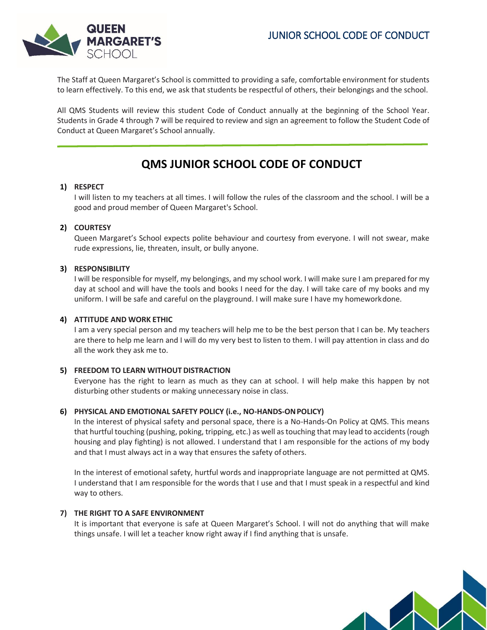## JUNIOR SCHOOL CODE OF CONDUCT



The Staff at Queen Margaret's School is committed to providing a safe, comfortable environment for students to learn effectively. To this end, we ask that students be respectful of others, their belongings and the school.

All QMS Students will review this student Code of Conduct annually at the beginning of the School Year. Students in Grade 4 through 7 will be required to review and sign an agreement to follow the Student Code of Conduct at Queen Margaret's School annually.

# **QMS JUNIOR SCHOOL CODE OF CONDUCT**

## **1) RESPECT**

I will listen to my teachers at all times. I will follow the rules of the classroom and the school. I will be a good and proud member of Queen Margaret's School.

## **2) COURTESY**

Queen Margaret's School expects polite behaviour and courtesy from everyone. I will not swear, make rude expressions, lie, threaten, insult, or bully anyone.

## **3) RESPONSIBILITY**

I will be responsible for myself, my belongings, and my school work. I will make sure I am prepared for my day at school and will have the tools and books I need for the day. I will take care of my books and my uniform. I will be safe and careful on the playground. I will make sure I have my homeworkdone.

#### **4) ATTITUDE AND WORK ETHIC**

I am a very special person and my teachers will help me to be the best person that I can be. My teachers are there to help me learn and I will do my very best to listen to them. I will pay attention in class and do all the work they ask me to.

#### **5) FREEDOM TO LEARN WITHOUT DISTRACTION**

Everyone has the right to learn as much as they can at school. I will help make this happen by not disturbing other students or making unnecessary noise in class.

#### **6) PHYSICAL AND EMOTIONAL SAFETY POLICY (i.e., NO-HANDS-ONPOLICY)**

In the interest of physical safety and personal space, there is a No-Hands-On Policy at QMS. This means that hurtful touching (pushing, poking, tripping, etc.) as well as touching that may lead to accidents (rough housing and play fighting) is not allowed. I understand that I am responsible for the actions of my body and that I must always act in a way that ensures the safety of others.

In the interest of emotional safety, hurtful words and inappropriate language are not permitted at QMS. I understand that I am responsible for the words that I use and that I must speak in a respectful and kind way to others.

#### **7) THE RIGHT TO A SAFE ENVIRONMENT**

It is important that everyone is safe at Queen Margaret's School. I will not do anything that will make things unsafe. I will let a teacher know right away if I find anything that is unsafe.